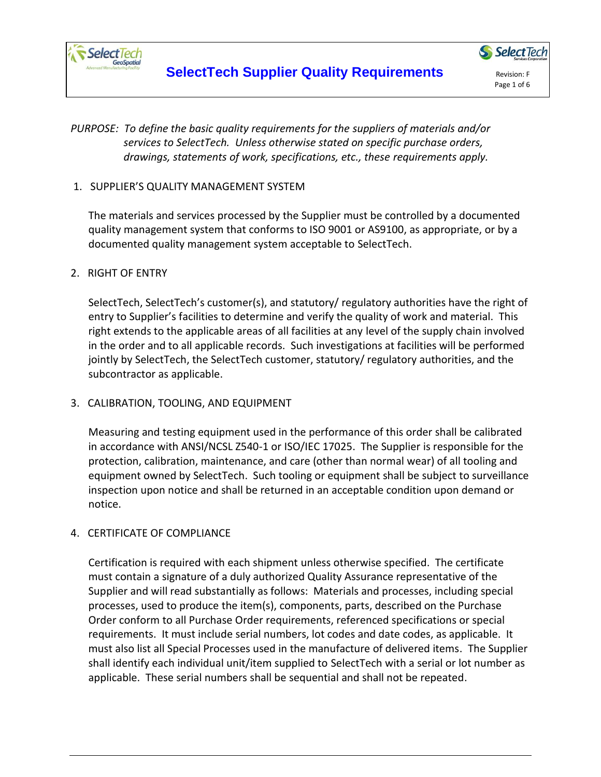

# *PURPOSE: To define the basic quality requirements for the suppliers of materials and/or services to SelectTech. Unless otherwise stated on specific purchase orders, drawings, statements of work, specifications, etc., these requirements apply.*

## 1. SUPPLIER'S QUALITY MANAGEMENT SYSTEM

The materials and services processed by the Supplier must be controlled by a documented quality management system that conforms to ISO 9001 or AS9100, as appropriate, or by a documented quality management system acceptable to SelectTech.

#### 2. RIGHT OF ENTRY

SelectTech, SelectTech's customer(s), and statutory/ regulatory authorities have the right of entry to Supplier's facilities to determine and verify the quality of work and material. This right extends to the applicable areas of all facilities at any level of the supply chain involved in the order and to all applicable records. Such investigations at facilities will be performed jointly by SelectTech, the SelectTech customer, statutory/ regulatory authorities, and the subcontractor as applicable.

## 3. CALIBRATION, TOOLING, AND EQUIPMENT

Measuring and testing equipment used in the performance of this order shall be calibrated in accordance with ANSI/NCSL Z540-1 or ISO/IEC 17025. The Supplier is responsible for the protection, calibration, maintenance, and care (other than normal wear) of all tooling and equipment owned by SelectTech. Such tooling or equipment shall be subject to surveillance inspection upon notice and shall be returned in an acceptable condition upon demand or notice.

## 4. CERTIFICATE OF COMPLIANCE

Certification is required with each shipment unless otherwise specified. The certificate must contain a signature of a duly authorized Quality Assurance representative of the Supplier and will read substantially as follows: Materials and processes, including special processes, used to produce the item(s), components, parts, described on the Purchase Order conform to all Purchase Order requirements, referenced specifications or special requirements. It must include serial numbers, lot codes and date codes, as applicable. It must also list all Special Processes used in the manufacture of delivered items. The Supplier shall identify each individual unit/item supplied to SelectTech with a serial or lot number as applicable. These serial numbers shall be sequential and shall not be repeated.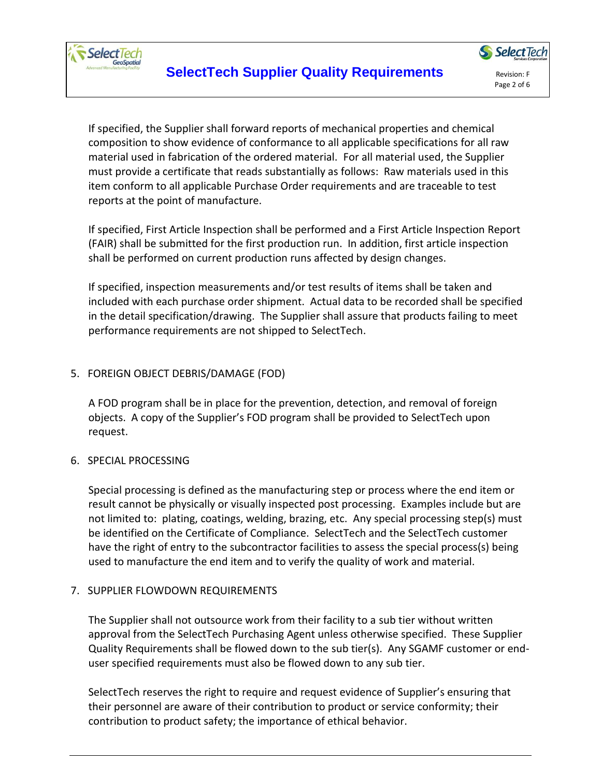

Page 2 of 6

If specified, the Supplier shall forward reports of mechanical properties and chemical composition to show evidence of conformance to all applicable specifications for all raw material used in fabrication of the ordered material. For all material used, the Supplier must provide a certificate that reads substantially as follows: Raw materials used in this item conform to all applicable Purchase Order requirements and are traceable to test reports at the point of manufacture.

If specified, First Article Inspection shall be performed and a First Article Inspection Report (FAIR) shall be submitted for the first production run. In addition, first article inspection shall be performed on current production runs affected by design changes.

If specified, inspection measurements and/or test results of items shall be taken and included with each purchase order shipment. Actual data to be recorded shall be specified in the detail specification/drawing. The Supplier shall assure that products failing to meet performance requirements are not shipped to SelectTech.

# 5. FOREIGN OBJECT DEBRIS/DAMAGE (FOD)

A FOD program shall be in place for the prevention, detection, and removal of foreign objects. A copy of the Supplier's FOD program shall be provided to SelectTech upon request.

## 6. SPECIAL PROCESSING

Special processing is defined as the manufacturing step or process where the end item or result cannot be physically or visually inspected post processing. Examples include but are not limited to: plating, coatings, welding, brazing, etc. Any special processing step(s) must be identified on the Certificate of Compliance. SelectTech and the SelectTech customer have the right of entry to the subcontractor facilities to assess the special process(s) being used to manufacture the end item and to verify the quality of work and material.

## 7. SUPPLIER FLOWDOWN REQUIREMENTS

The Supplier shall not outsource work from their facility to a sub tier without written approval from the SelectTech Purchasing Agent unless otherwise specified. These Supplier Quality Requirements shall be flowed down to the sub tier(s). Any SGAMF customer or enduser specified requirements must also be flowed down to any sub tier.

SelectTech reserves the right to require and request evidence of Supplier's ensuring that their personnel are aware of their contribution to product or service conformity; their contribution to product safety; the importance of ethical behavior.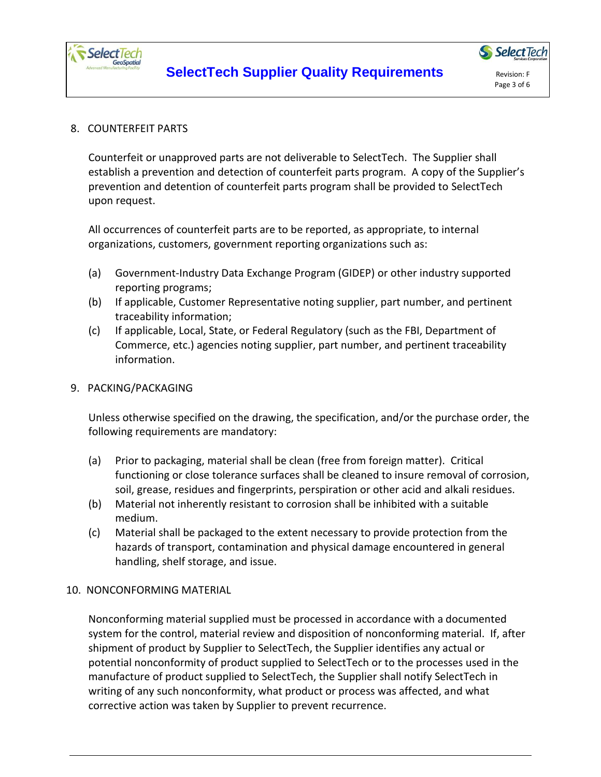

## 8. COUNTERFEIT PARTS

Counterfeit or unapproved parts are not deliverable to SelectTech. The Supplier shall establish a prevention and detection of counterfeit parts program. A copy of the Supplier's prevention and detention of counterfeit parts program shall be provided to SelectTech upon request.

All occurrences of counterfeit parts are to be reported, as appropriate, to internal organizations, customers, government reporting organizations such as:

- (a) Government-Industry Data Exchange Program (GIDEP) or other industry supported reporting programs;
- (b) If applicable, Customer Representative noting supplier, part number, and pertinent traceability information;
- (c) If applicable, Local, State, or Federal Regulatory (such as the FBI, Department of Commerce, etc.) agencies noting supplier, part number, and pertinent traceability information.

#### 9. PACKING/PACKAGING

Unless otherwise specified on the drawing, the specification, and/or the purchase order, the following requirements are mandatory:

- (a) Prior to packaging, material shall be clean (free from foreign matter). Critical functioning or close tolerance surfaces shall be cleaned to insure removal of corrosion, soil, grease, residues and fingerprints, perspiration or other acid and alkali residues.
- (b) Material not inherently resistant to corrosion shall be inhibited with a suitable medium.
- (c) Material shall be packaged to the extent necessary to provide protection from the hazards of transport, contamination and physical damage encountered in general handling, shelf storage, and issue.

## 10. NONCONFORMING MATERIAL

Nonconforming material supplied must be processed in accordance with a documented system for the control, material review and disposition of nonconforming material. If, after shipment of product by Supplier to SelectTech, the Supplier identifies any actual or potential nonconformity of product supplied to SelectTech or to the processes used in the manufacture of product supplied to SelectTech, the Supplier shall notify SelectTech in writing of any such nonconformity, what product or process was affected, and what corrective action was taken by Supplier to prevent recurrence.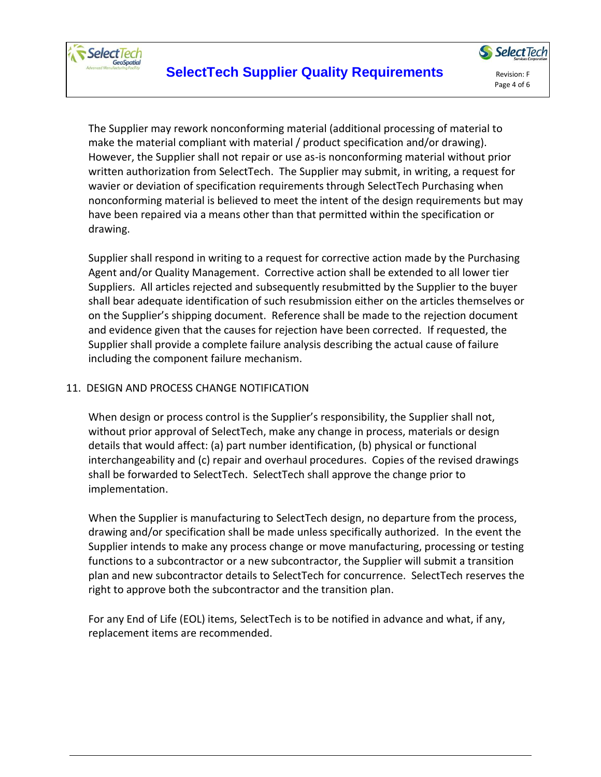

The Supplier may rework nonconforming material (additional processing of material to make the material compliant with material / product specification and/or drawing). However, the Supplier shall not repair or use as-is nonconforming material without prior written authorization from SelectTech. The Supplier may submit, in writing, a request for wavier or deviation of specification requirements through SelectTech Purchasing when nonconforming material is believed to meet the intent of the design requirements but may have been repaired via a means other than that permitted within the specification or drawing.

Supplier shall respond in writing to a request for corrective action made by the Purchasing Agent and/or Quality Management. Corrective action shall be extended to all lower tier Suppliers. All articles rejected and subsequently resubmitted by the Supplier to the buyer shall bear adequate identification of such resubmission either on the articles themselves or on the Supplier's shipping document. Reference shall be made to the rejection document and evidence given that the causes for rejection have been corrected. If requested, the Supplier shall provide a complete failure analysis describing the actual cause of failure including the component failure mechanism.

## 11. DESIGN AND PROCESS CHANGE NOTIFICATION

When design or process control is the Supplier's responsibility, the Supplier shall not, without prior approval of SelectTech, make any change in process, materials or design details that would affect: (a) part number identification, (b) physical or functional interchangeability and (c) repair and overhaul procedures. Copies of the revised drawings shall be forwarded to SelectTech. SelectTech shall approve the change prior to implementation.

When the Supplier is manufacturing to SelectTech design, no departure from the process, drawing and/or specification shall be made unless specifically authorized. In the event the Supplier intends to make any process change or move manufacturing, processing or testing functions to a subcontractor or a new subcontractor, the Supplier will submit a transition plan and new subcontractor details to SelectTech for concurrence. SelectTech reserves the right to approve both the subcontractor and the transition plan.

For any End of Life (EOL) items, SelectTech is to be notified in advance and what, if any, replacement items are recommended.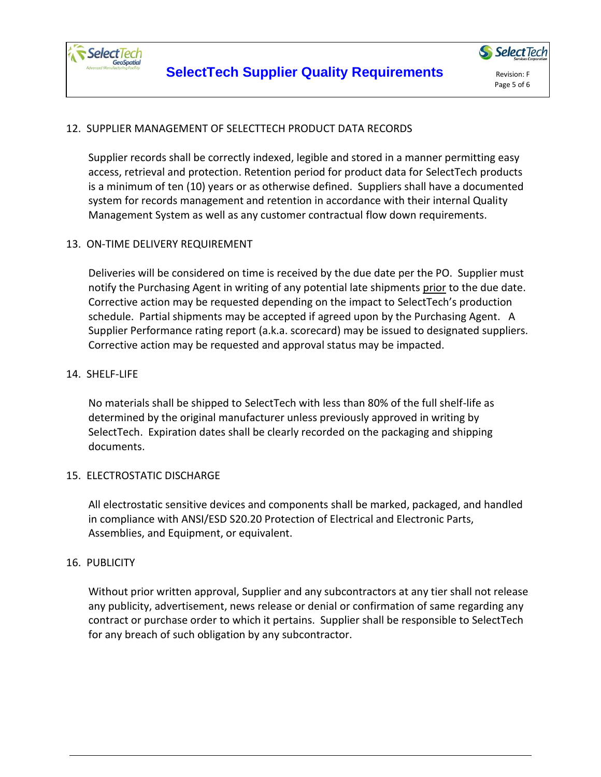

# 12. SUPPLIER MANAGEMENT OF SELECTTECH PRODUCT DATA RECORDS

Supplier records shall be correctly indexed, legible and stored in a manner permitting easy access, retrieval and protection. Retention period for product data for SelectTech products is a minimum of ten (10) years or as otherwise defined. Suppliers shall have a documented system for records management and retention in accordance with their internal Quality Management System as well as any customer contractual flow down requirements.

## 13. ON-TIME DELIVERY REQUIREMENT

Deliveries will be considered on time is received by the due date per the PO. Supplier must notify the Purchasing Agent in writing of any potential late shipments prior to the due date. Corrective action may be requested depending on the impact to SelectTech's production schedule. Partial shipments may be accepted if agreed upon by the Purchasing Agent. A Supplier Performance rating report (a.k.a. scorecard) may be issued to designated suppliers. Corrective action may be requested and approval status may be impacted.

#### 14. SHELF-LIFE

No materials shall be shipped to SelectTech with less than 80% of the full shelf-life as determined by the original manufacturer unless previously approved in writing by SelectTech. Expiration dates shall be clearly recorded on the packaging and shipping documents.

## 15. ELECTROSTATIC DISCHARGE

All electrostatic sensitive devices and components shall be marked, packaged, and handled in compliance with ANSI/ESD S20.20 Protection of Electrical and Electronic Parts, Assemblies, and Equipment, or equivalent.

#### 16. PUBLICITY

Without prior written approval, Supplier and any subcontractors at any tier shall not release any publicity, advertisement, news release or denial or confirmation of same regarding any contract or purchase order to which it pertains. Supplier shall be responsible to SelectTech for any breach of such obligation by any subcontractor.